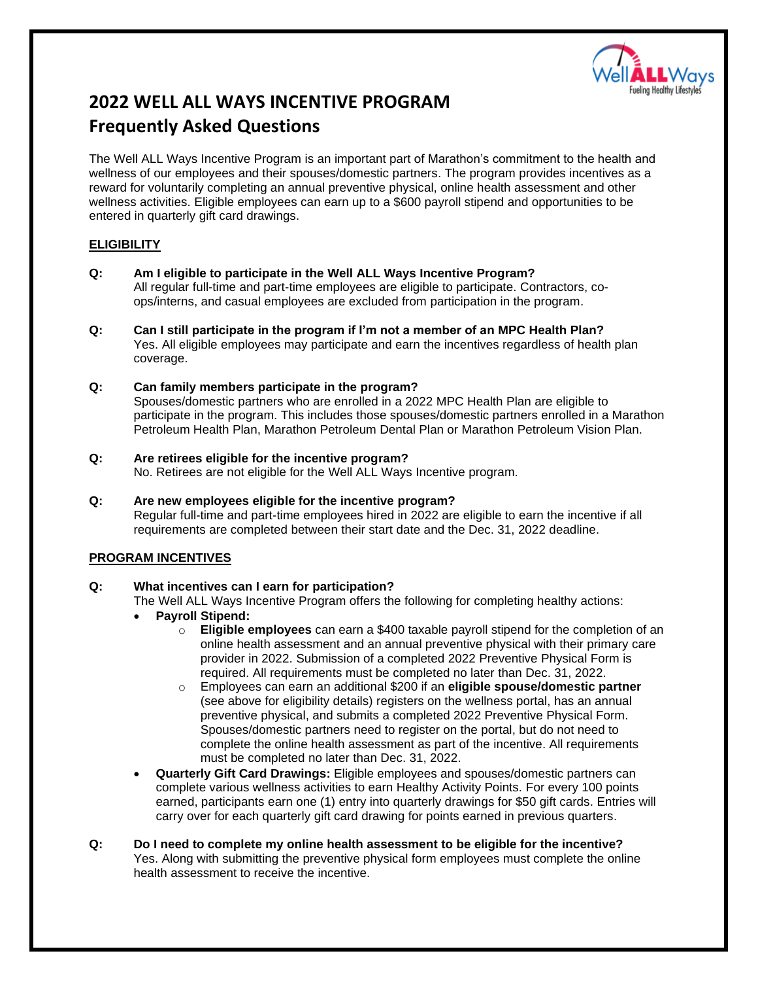

# **2022 WELL ALL WAYS INCENTIVE PROGRAM Frequently Asked Questions**

The Well ALL Ways Incentive Program is an important part of Marathon's commitment to the health and wellness of our employees and their spouses/domestic partners. The program provides incentives as a reward for voluntarily completing an annual preventive physical, online health assessment and other wellness activities. Eligible employees can earn up to a \$600 payroll stipend and opportunities to be entered in quarterly gift card drawings.

# **ELIGIBILITY**

- **Q: Am I eligible to participate in the Well ALL Ways Incentive Program?** All regular full-time and part-time employees are eligible to participate. Contractors, coops/interns, and casual employees are excluded from participation in the program.
- **Q: Can I still participate in the program if I'm not a member of an MPC Health Plan?**  Yes. All eligible employees may participate and earn the incentives regardless of health plan coverage.

#### **Q: Can family members participate in the program?**

Spouses/domestic partners who are enrolled in a 2022 MPC Health Plan are eligible to participate in the program. This includes those spouses/domestic partners enrolled in a Marathon Petroleum Health Plan, Marathon Petroleum Dental Plan or Marathon Petroleum Vision Plan.

- **Q: Are retirees eligible for the incentive program?** No. Retirees are not eligible for the Well ALL Ways Incentive program.
- **Q: Are new employees eligible for the incentive program?** Regular full-time and part-time employees hired in 2022 are eligible to earn the incentive if all requirements are completed between their start date and the Dec. 31, 2022 deadline.

# **PROGRAM INCENTIVES**

#### **Q: What incentives can I earn for participation?**

The Well ALL Ways Incentive Program offers the following for completing healthy actions:

- **Payroll Stipend:**
	- o **Eligible employees** can earn a \$400 taxable payroll stipend for the completion of an online health assessment and an annual preventive physical with their primary care provider in 2022. Submission of a completed 2022 Preventive Physical Form is required. All requirements must be completed no later than Dec. 31, 2022.
	- o Employees can earn an additional \$200 if an **eligible spouse/domestic partner** (see above for eligibility details) registers on the wellness portal, has an annual preventive physical, and submits a completed 2022 Preventive Physical Form. Spouses/domestic partners need to register on the portal, but do not need to complete the online health assessment as part of the incentive. All requirements must be completed no later than Dec. 31, 2022.
- **Quarterly Gift Card Drawings:** Eligible employees and spouses/domestic partners can complete various wellness activities to earn Healthy Activity Points. For every 100 points earned, participants earn one (1) entry into quarterly drawings for \$50 gift cards. Entries will carry over for each quarterly gift card drawing for points earned in previous quarters.
- **Q: Do I need to complete my online health assessment to be eligible for the incentive?**  Yes. Along with submitting the preventive physical form employees must complete the online health assessment to receive the incentive.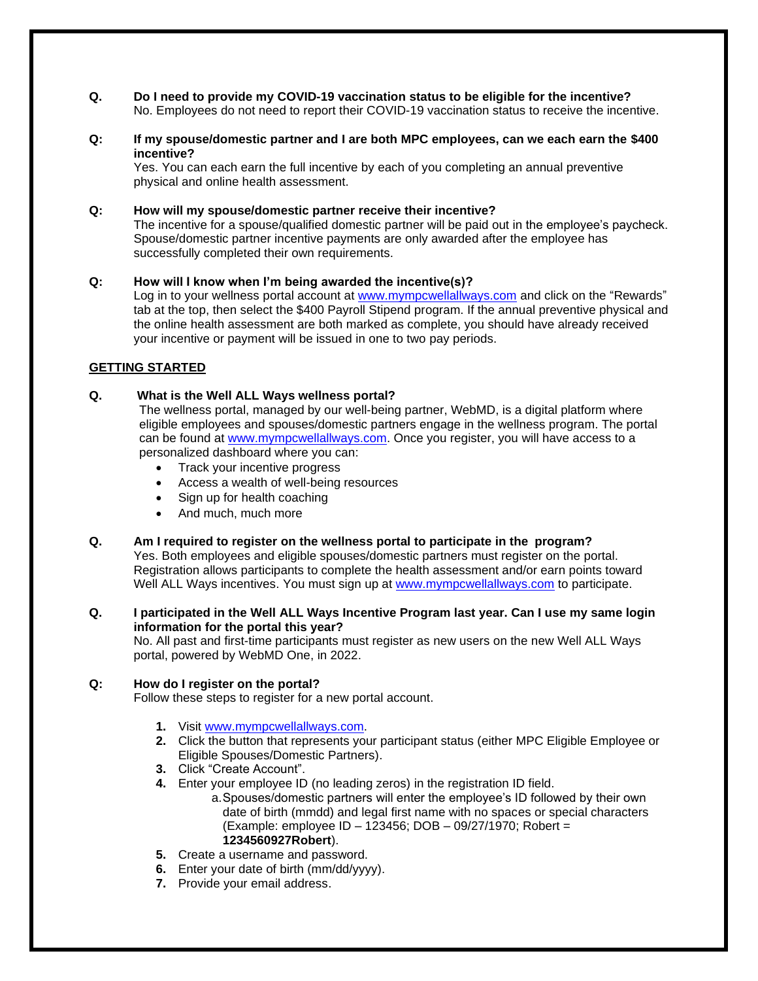- **Q. Do I need to provide my COVID-19 vaccination status to be eligible for the incentive?** No. Employees do not need to report their COVID-19 vaccination status to receive the incentive.
- **Q: If my spouse/domestic partner and I are both MPC employees, can we each earn the \$400 incentive?**

Yes. You can each earn the full incentive by each of you completing an annual preventive physical and online health assessment.

# **Q: How will my spouse/domestic partner receive their incentive?**

The incentive for a spouse/qualified domestic partner will be paid out in the employee's paycheck. Spouse/domestic partner incentive payments are only awarded after the employee has successfully completed their own requirements.

# **Q: How will I know when I'm being awarded the incentive(s)?**

Log in to your wellness portal account at [www.mympcwellallways.com](http://www.mympcwellallways.com/) and click on the "Rewards" tab at the top, then select the \$400 Payroll Stipend program. If the annual preventive physical and the online health assessment are both marked as complete, you should have already received your incentive or payment will be issued in one to two pay periods.

# **GETTING STARTED**

# **Q. What is the Well ALL Ways wellness portal?**

The wellness portal, managed by our well-being partner, WebMD, is a digital platform where eligible employees and spouses/domestic partners engage in the wellness program. The portal can be found at [www.mympcwellallways.com.](http://www.mympcwellallways.com/) Once you register, you will have access to a personalized dashboard where you can:

- Track your incentive progress
- Access a wealth of well-being resources
- Sign up for health coaching
- And much, much more

# **Q. Am I required to register on the wellness portal to participate in the program?**

Yes. Both employees and eligible spouses/domestic partners must register on the portal. Registration allows participants to complete the health assessment and/or earn points toward Well ALL Ways incentives. You must sign up at [www.mympcwellallways.com](http://www.mympcwellallways.com/) to participate.

# **Q. I participated in the Well ALL Ways Incentive Program last year. Can I use my same login information for the portal this year?**

No. All past and first-time participants must register as new users on the new Well ALL Ways portal, powered by WebMD One, in 2022.

#### **Q: How do I register on the portal?**

Follow these steps to register for a new portal account.

- **1.** Visit [www.mympcwellallways.com.](http://www.mympcwellallways.com/)
- **2.** Click the button that represents your participant status (either MPC Eligible Employee or Eligible Spouses/Domestic Partners).
- **3.** Click "Create Account".
- **4.** Enter your employee ID (no leading zeros) in the registration ID field.
	- a.Spouses/domestic partners will enter the employee's ID followed by their own date of birth (mmdd) and legal first name with no spaces or special characters (Example: employee ID – 123456; DOB – 09/27/1970; Robert = **1234560927Robert**).
- **5.** Create a username and password.
- **6.** Enter your date of birth (mm/dd/yyyy).
- **7.** Provide your email address.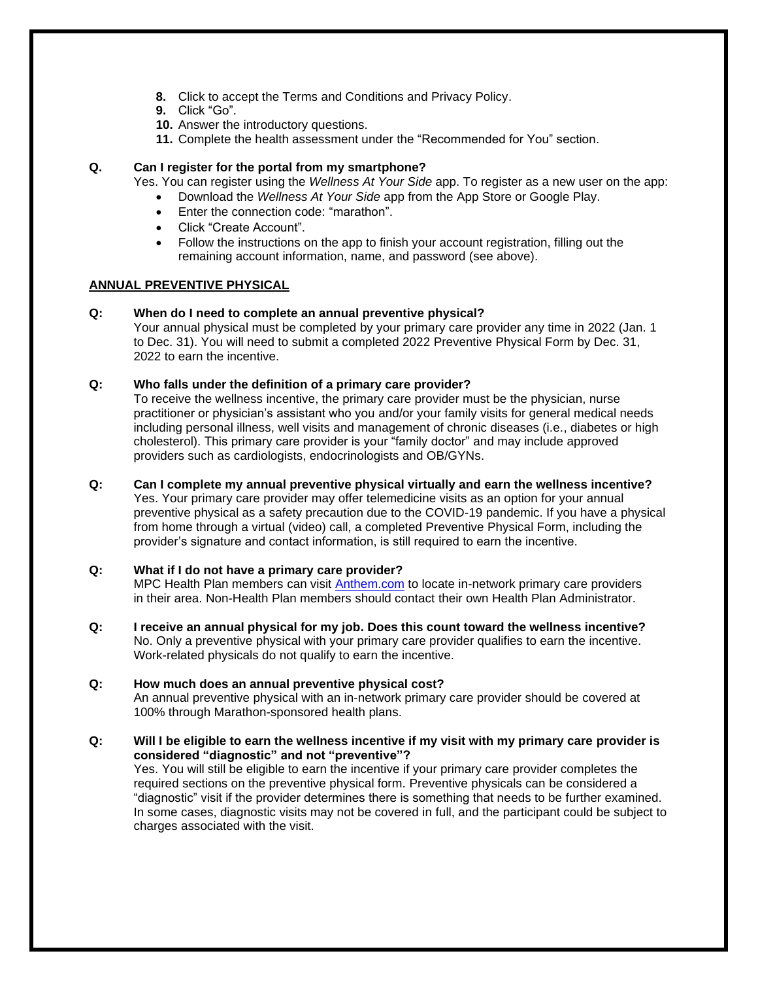- **8.** Click to accept the Terms and Conditions and Privacy Policy.
- **9.** Click "Go".
- **10.** Answer the introductory questions.
- **11.** Complete the health assessment under the "Recommended for You" section.

# **Q. Can I register for the portal from my smartphone?**

Yes. You can register using the *Wellness At Your Side* app. To register as a new user on the app:

- Download the *Wellness At Your Side* app from the App Store or Google Play.
- Enter the connection code: "marathon".
- Click "Create Account".
- Follow the instructions on the app to finish your account registration, filling out the remaining account information, name, and password (see above).

# **ANNUAL PREVENTIVE PHYSICAL**

# **Q: When do I need to complete an annual preventive physical?**

Your annual physical must be completed by your primary care provider any time in 2022 (Jan. 1 to Dec. 31). You will need to submit a completed 2022 Preventive Physical Form by Dec. 31, 2022 to earn the incentive.

# **Q: Who falls under the definition of a primary care provider?**

To receive the wellness incentive, the primary care provider must be the physician, nurse practitioner or physician's assistant who you and/or your family visits for general medical needs including personal illness, well visits and management of chronic diseases (i.e., diabetes or high cholesterol). This primary care provider is your "family doctor" and may include approved providers such as cardiologists, endocrinologists and OB/GYNs.

# **Q: Can I complete my annual preventive physical virtually and earn the wellness incentive?**

Yes. Your primary care provider may offer telemedicine visits as an option for your annual preventive physical as a safety precaution due to the COVID-19 pandemic. If you have a physical from home through a virtual (video) call, a completed Preventive Physical Form, including the provider's signature and contact information, is still required to earn the incentive.

#### **Q: What if I do not have a primary care provider?**

MPC Health Plan members can visit [Anthem.com](http://www.anthem.com/) to locate in-network primary care providers in their area. Non-Health Plan members should contact their own Health Plan Administrator.

**Q: I receive an annual physical for my job. Does this count toward the wellness incentive?**  No. Only a preventive physical with your primary care provider qualifies to earn the incentive. Work-related physicals do not qualify to earn the incentive.

#### **Q: How much does an annual preventive physical cost?** An annual preventive physical with an in-network primary care provider should be covered at 100% through Marathon-sponsored health plans.

**Q: Will I be eligible to earn the wellness incentive if my visit with my primary care provider is considered "diagnostic" and not "preventive"?** Yes. You will still be eligible to earn the incentive if your primary care provider completes the

required sections on the preventive physical form. Preventive physicals can be considered a "diagnostic" visit if the provider determines there is something that needs to be further examined. In some cases, diagnostic visits may not be covered in full, and the participant could be subject to charges associated with the visit.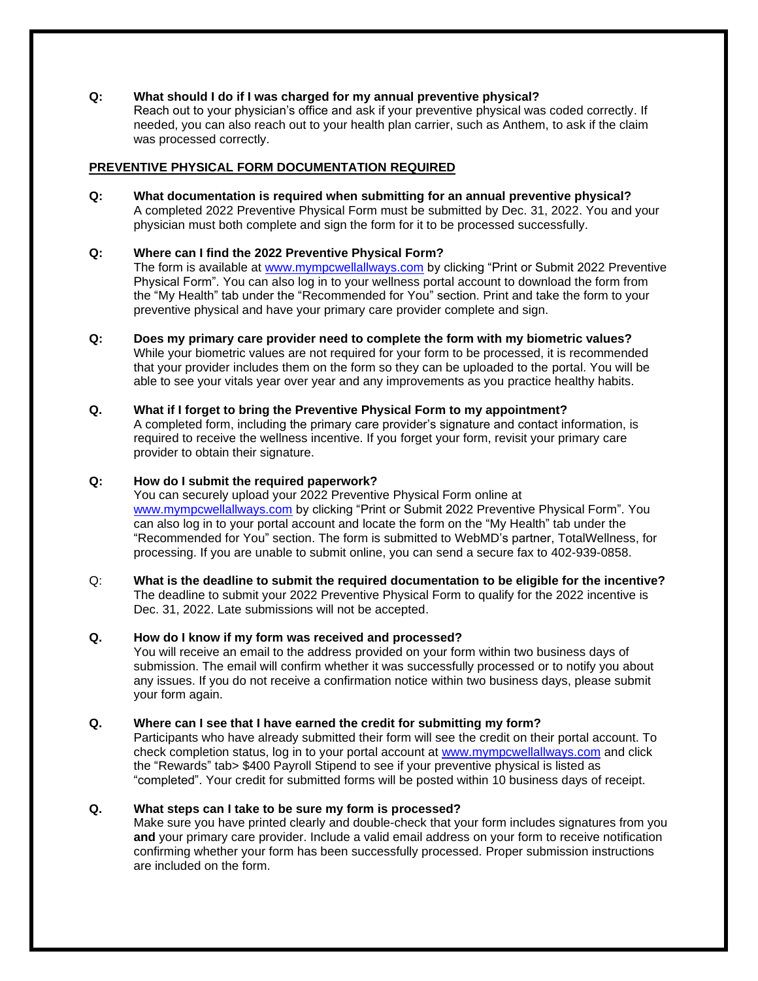# **Q: What should I do if I was charged for my annual preventive physical?**

Reach out to your physician's office and ask if your preventive physical was coded correctly. If needed, you can also reach out to your health plan carrier, such as Anthem, to ask if the claim was processed correctly.

# **PREVENTIVE PHYSICAL FORM DOCUMENTATION REQUIRED**

**Q: What documentation is required when submitting for an annual preventive physical?** A completed 2022 Preventive Physical Form must be submitted by Dec. 31, 2022. You and your physician must both complete and sign the form for it to be processed successfully.

# **Q: Where can I find the 2022 Preventive Physical Form?**

The form is available at [www.mympcwellallways.com](http://www.mympcwellallways.com/) by clicking "Print or Submit 2022 Preventive Physical Form". You can also log in to your wellness portal account to download the form from the "My Health" tab under the "Recommended for You" section. Print and take the form to your preventive physical and have your primary care provider complete and sign.

**Q: Does my primary care provider need to complete the form with my biometric values?** While your biometric values are not required for your form to be processed, it is recommended that your provider includes them on the form so they can be uploaded to the portal. You will be able to see your vitals year over year and any improvements as you practice healthy habits.

# **Q. What if I forget to bring the Preventive Physical Form to my appointment?**

A completed form, including the primary care provider's signature and contact information, is required to receive the wellness incentive. If you forget your form, revisit your primary care provider to obtain their signature.

# **Q: How do I submit the required paperwork?**

You can securely upload your 2022 Preventive Physical Form online at [www.mympcwellallways.com](http://www.mympcwellallways.com/) by clicking "Print or Submit 2022 Preventive Physical Form". You can also log in to your portal account and locate the form on the "My Health" tab under the "Recommended for You" section. The form is submitted to WebMD's partner, TotalWellness, for processing. If you are unable to submit online, you can send a secure fax to 402-939-0858.

Q: **What is the deadline to submit the required documentation to be eligible for the incentive?** The deadline to submit your 2022 Preventive Physical Form to qualify for the 2022 incentive is Dec. 31, 2022. Late submissions will not be accepted.

#### **Q. How do I know if my form was received and processed?**

You will receive an email to the address provided on your form within two business days of submission. The email will confirm whether it was successfully processed or to notify you about any issues. If you do not receive a confirmation notice within two business days, please submit your form again.

#### **Q. Where can I see that I have earned the credit for submitting my form?**

Participants who have already submitted their form will see the credit on their portal account. To check completion status, log in to your portal account at [www.mympcwellallways.com](http://www.mympcwellallways.com/) and click the "Rewards" tab> \$400 Payroll Stipend to see if your preventive physical is listed as "completed". Your credit for submitted forms will be posted within 10 business days of receipt.

#### **Q. What steps can I take to be sure my form is processed?**

Make sure you have printed clearly and double-check that your form includes signatures from you **and** your primary care provider. Include a valid email address on your form to receive notification confirming whether your form has been successfully processed. Proper submission instructions are included on the form.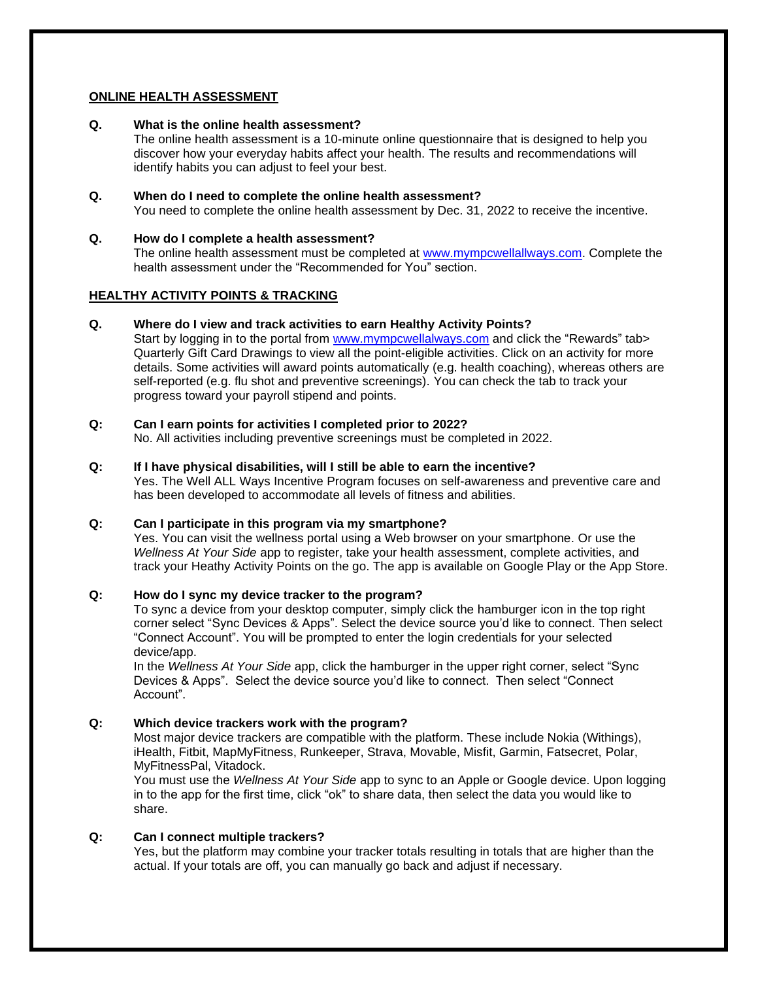# **ONLINE HEALTH ASSESSMENT**

#### **Q. What is the online health assessment?**

The online health assessment is a 10-minute online questionnaire that is designed to help you discover how your everyday habits affect your health. The results and recommendations will identify habits you can adjust to feel your best.

### **Q. When do I need to complete the online health assessment?** You need to complete the online health assessment by Dec. 31, 2022 to receive the incentive.

#### **Q. How do I complete a health assessment?**

The online health assessment must be completed at [www.mympcwellallways.com.](http://www.mympcwellallways.com/) Complete the health assessment under the "Recommended for You" section.

# **HEALTHY ACTIVITY POINTS & TRACKING**

#### **Q. Where do I view and track activities to earn Healthy Activity Points?**

Start by logging in to the portal from [www.mympcwellalways.com](http://www.mympcwellalways.com/) and click the "Rewards" tab> Quarterly Gift Card Drawings to view all the point-eligible activities. Click on an activity for more details. Some activities will award points automatically (e.g. health coaching), whereas others are self-reported (e.g. flu shot and preventive screenings). You can check the tab to track your progress toward your payroll stipend and points.

# **Q: Can I earn points for activities I completed prior to 2022?**

No. All activities including preventive screenings must be completed in 2022.

# **Q: If I have physical disabilities, will I still be able to earn the incentive?**

Yes. The Well ALL Ways Incentive Program focuses on self-awareness and preventive care and has been developed to accommodate all levels of fitness and abilities.

# **Q: Can I participate in this program via my smartphone?**

Yes. You can visit the wellness portal using a Web browser on your smartphone. Or use the *Wellness At Your Side* app to register, take your health assessment, complete activities, and track your Heathy Activity Points on the go. The app is available on Google Play or the App Store.

# **Q: How do I sync my device tracker to the program?**

To sync a device from your desktop computer, simply click the hamburger icon in the top right corner select "Sync Devices & Apps". Select the device source you'd like to connect. Then select "Connect Account". You will be prompted to enter the login credentials for your selected device/app.

In the *Wellness At Your Side* app, click the hamburger in the upper right corner, select "Sync Devices & Apps". Select the device source you'd like to connect. Then select "Connect Account".

#### **Q: Which device trackers work with the program?**

Most major device trackers are compatible with the platform. These include Nokia (Withings), iHealth, Fitbit, MapMyFitness, Runkeeper, Strava, Movable, Misfit, Garmin, Fatsecret, Polar, MyFitnessPal, Vitadock.

You must use the *Wellness At Your Side* app to sync to an Apple or Google device. Upon logging in to the app for the first time, click "ok" to share data, then select the data you would like to share.

#### **Q: Can I connect multiple trackers?**

Yes, but the platform may combine your tracker totals resulting in totals that are higher than the actual. If your totals are off, you can manually go back and adjust if necessary.